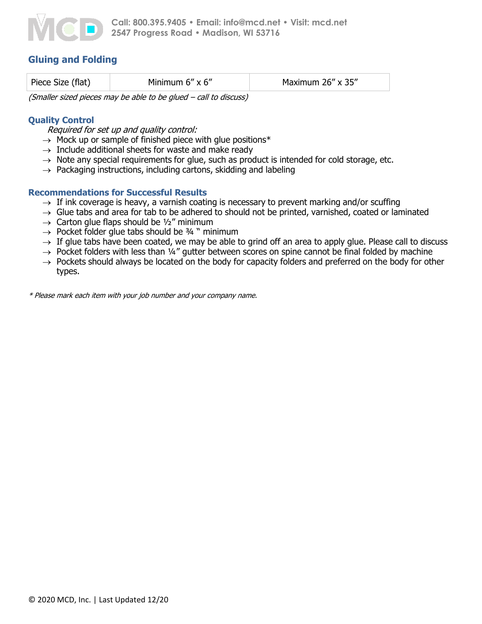

# **Gluing and Folding**

| Piece Size (flat) | Minimum $6'' \times 6''$ | Maximum 26" x 35" |
|-------------------|--------------------------|-------------------|
|                   |                          |                   |

(Smaller sized pieces may be able to be glued – call to discuss)

## **Quality Control**

Required for set up and quality control:

- $\rightarrow$  Mock up or sample of finished piece with glue positions\*
- $\rightarrow$  Include additional sheets for waste and make ready
- $\rightarrow$  Note any special requirements for glue, such as product is intended for cold storage, etc.
- $\rightarrow$  Packaging instructions, including cartons, skidding and labeling

### **Recommendations for Successful Results**

- $\rightarrow$  If ink coverage is heavy, a varnish coating is necessary to prevent marking and/or scuffing
- $\rightarrow$  Glue tabs and area for tab to be adhered to should not be printed, varnished, coated or laminated
- $\rightarrow$  Carton glue flaps should be 1/2" minimum
- $\rightarrow$  Pocket folder glue tabs should be 34 " minimum
- $\rightarrow$  If glue tabs have been coated, we may be able to grind off an area to apply glue. Please call to discuss
- $\rightarrow$  Pocket folders with less than 1/4" gutter between scores on spine cannot be final folded by machine
- $\rightarrow$  Pockets should always be located on the body for capacity folders and preferred on the body for other types.

\* Please mark each item with your job number and your company name.